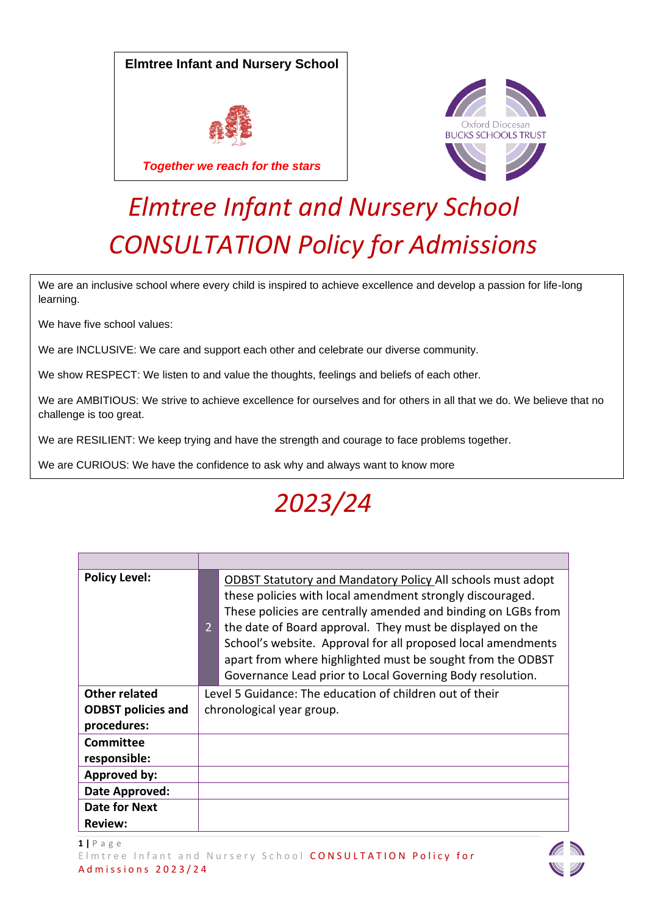#### **Elmtree Infant and Nursery School**



*Together we reach for the stars*



# *Elmtree Infant and Nursery School CONSULTATION Policy for Admissions*

We are an inclusive school where every child is inspired to achieve excellence and develop a passion for life-long learning.

We have five school values:

We are INCLUSIVE: We care and support each other and celebrate our diverse community.

We show RESPECT: We listen to and value the thoughts, feelings and beliefs of each other.

We are AMBITIOUS: We strive to achieve excellence for ourselves and for others in all that we do. We believe that no challenge is too great.

We are RESILIENT: We keep trying and have the strength and courage to face problems together.

We are CURIOUS: We have the confidence to ask why and always want to know more

## *2023/24*

| <b>Policy Level:</b>      | <b>ODBST Statutory and Mandatory Policy All schools must adopt</b><br>these policies with local amendment strongly discouraged.<br>These policies are centrally amended and binding on LGBs from<br>the date of Board approval. They must be displayed on the<br>$\overline{2}$<br>School's website. Approval for all proposed local amendments<br>apart from where highlighted must be sought from the ODBST<br>Governance Lead prior to Local Governing Body resolution. |  |
|---------------------------|----------------------------------------------------------------------------------------------------------------------------------------------------------------------------------------------------------------------------------------------------------------------------------------------------------------------------------------------------------------------------------------------------------------------------------------------------------------------------|--|
| <b>Other related</b>      | Level 5 Guidance: The education of children out of their                                                                                                                                                                                                                                                                                                                                                                                                                   |  |
| <b>ODBST policies and</b> | chronological year group.                                                                                                                                                                                                                                                                                                                                                                                                                                                  |  |
| procedures:               |                                                                                                                                                                                                                                                                                                                                                                                                                                                                            |  |
| Committee                 |                                                                                                                                                                                                                                                                                                                                                                                                                                                                            |  |
| responsible:              |                                                                                                                                                                                                                                                                                                                                                                                                                                                                            |  |
| Approved by:              |                                                                                                                                                                                                                                                                                                                                                                                                                                                                            |  |
| Date Approved:            |                                                                                                                                                                                                                                                                                                                                                                                                                                                                            |  |
| <b>Date for Next</b>      |                                                                                                                                                                                                                                                                                                                                                                                                                                                                            |  |
| <b>Review:</b>            |                                                                                                                                                                                                                                                                                                                                                                                                                                                                            |  |

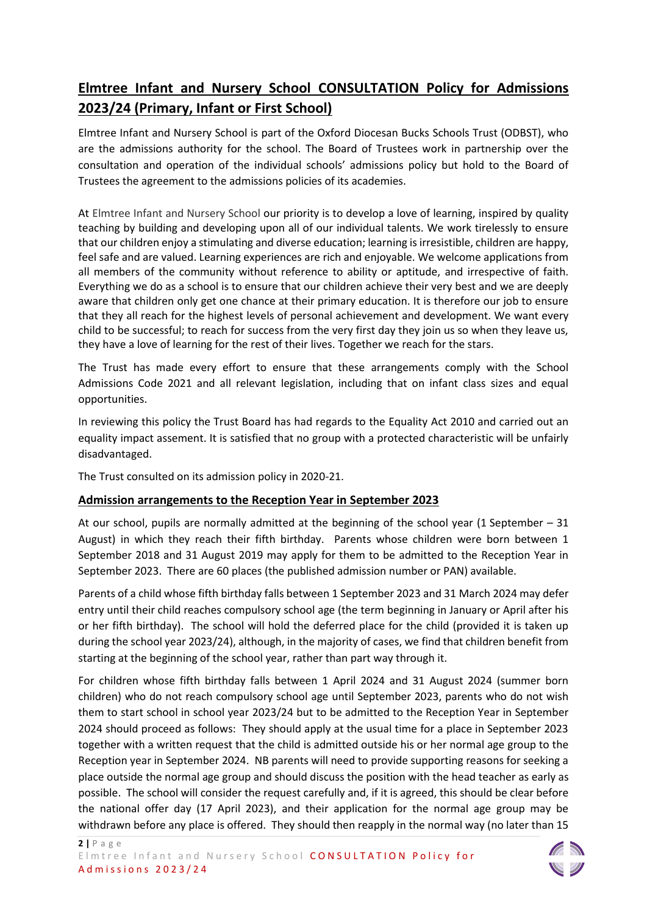### **Elmtree Infant and Nursery School CONSULTATION Policy for Admissions 2023/24 (Primary, Infant or First School)**

Elmtree Infant and Nursery School is part of the Oxford Diocesan Bucks Schools Trust (ODBST), who are the admissions authority for the school. The Board of Trustees work in partnership over the consultation and operation of the individual schools' admissions policy but hold to the Board of Trustees the agreement to the admissions policies of its academies.

At Elmtree Infant and Nursery School our priority is to develop a love of learning, inspired by quality teaching by building and developing upon all of our individual talents. We work tirelessly to ensure that our children enjoy a stimulating and diverse education; learning is irresistible, children are happy, feel safe and are valued. Learning experiences are rich and enjoyable. We welcome applications from all members of the community without reference to ability or aptitude, and irrespective of faith. Everything we do as a school is to ensure that our children achieve their very best and we are deeply aware that children only get one chance at their primary education. It is therefore our job to ensure that they all reach for the highest levels of personal achievement and development. We want every child to be successful; to reach for success from the very first day they join us so when they leave us, they have a love of learning for the rest of their lives. Together we reach for the stars.

The Trust has made every effort to ensure that these arrangements comply with the School Admissions Code 2021 and all relevant legislation, including that on infant class sizes and equal opportunities.

In reviewing this policy the Trust Board has had regards to the Equality Act 2010 and carried out an equality impact assement. It is satisfied that no group with a protected characteristic will be unfairly disadvantaged.

The Trust consulted on its admission policy in 2020-21.

#### **Admission arrangements to the Reception Year in September 2023**

At our school, pupils are normally admitted at the beginning of the school year (1 September – 31 August) in which they reach their fifth birthday. Parents whose children were born between 1 September 2018 and 31 August 2019 may apply for them to be admitted to the Reception Year in September 2023. There are 60 places (the published admission number or PAN) available.

Parents of a child whose fifth birthday falls between 1 September 2023 and 31 March 2024 may defer entry until their child reaches compulsory school age (the term beginning in January or April after his or her fifth birthday). The school will hold the deferred place for the child (provided it is taken up during the school year 2023/24), although, in the majority of cases, we find that children benefit from starting at the beginning of the school year, rather than part way through it.

For children whose fifth birthday falls between 1 April 2024 and 31 August 2024 (summer born children) who do not reach compulsory school age until September 2023, parents who do not wish them to start school in school year 2023/24 but to be admitted to the Reception Year in September 2024 should proceed as follows: They should apply at the usual time for a place in September 2023 together with a written request that the child is admitted outside his or her normal age group to the Reception year in September 2024. NB parents will need to provide supporting reasons for seeking a place outside the normal age group and should discuss the position with the head teacher as early as possible. The school will consider the request carefully and, if it is agreed, this should be clear before the national offer day (17 April 2023), and their application for the normal age group may be withdrawn before any place is offered. They should then reapply in the normal way (no later than 15

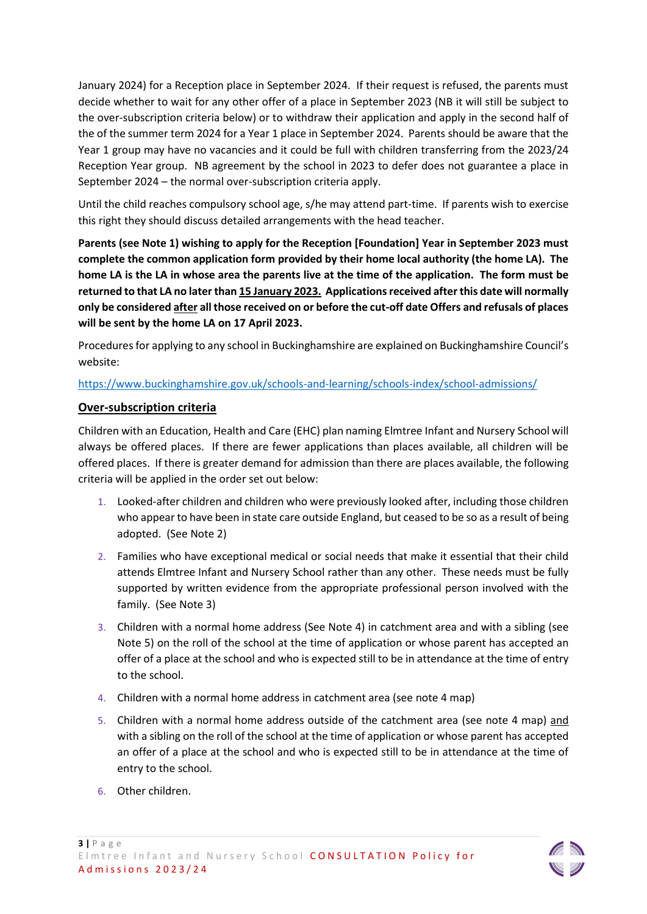January 2024) for a Reception place in September 2024. If their request is refused, the parents must decide whether to wait for any other offer of a place in September 2023 (NB it will still be subject to the over-subscription criteria below) or to withdraw their application and apply in the second half of the of the summer term 2024 for a Year 1 place in September 2024. Parents should be aware that the Year 1 group may have no vacancies and it could be full with children transferring from the 2023/24 Reception Year group. NB agreement by the school in 2023 to defer does not guarantee a place in September 2024 – the normal over-subscription criteria apply.

Until the child reaches compulsory school age, s/he may attend part-time. If parents wish to exercise this right they should discuss detailed arrangements with the head teacher.

**Parents (see Note 1) wishing to apply for the Reception [Foundation] Year in September 2023 must complete the common application form provided by their home local authority (the home LA). The home LA is the LA in whose area the parents live at the time of the application. The form must be returned to that LA no later than 15 January 2023. Applications received after this date will normally only be considered after all those received on or before the cut-off date Offers and refusals of places will be sent by the home LA on 17 April 2023.**

Procedures for applying to any school in Buckinghamshire are explained on Buckinghamshire Council's website:

#### <https://www.buckinghamshire.gov.uk/schools-and-learning/schools-index/school-admissions/>

#### **Over-subscription criteria**

Children with an Education, Health and Care (EHC) plan naming Elmtree Infant and Nursery School will always be offered places. If there are fewer applications than places available, all children will be offered places. If there is greater demand for admission than there are places available, the following criteria will be applied in the order set out below:

- 1. Looked-after children and children who were previously looked after, including those children who appear to have been in state care outside England, but ceased to be so as a result of being adopted. (See Note 2)
- 2. Families who have exceptional medical or social needs that make it essential that their child attends Elmtree Infant and Nursery School rather than any other. These needs must be fully supported by written evidence from the appropriate professional person involved with the family. (See Note 3)
- 3. Children with a normal home address (See Note 4) in catchment area and with a sibling (see Note 5) on the roll of the school at the time of application or whose parent has accepted an offer of a place at the school and who is expected still to be in attendance at the time of entry to the school.
- 4. Children with a normal home address in catchment area (see note 4 map)
- 5. Children with a normal home address outside of the catchment area (see note 4 map) and with a sibling on the roll of the school at the time of application or whose parent has accepted an offer of a place at the school and who is expected still to be in attendance at the time of entry to the school.
- 6. Other children.

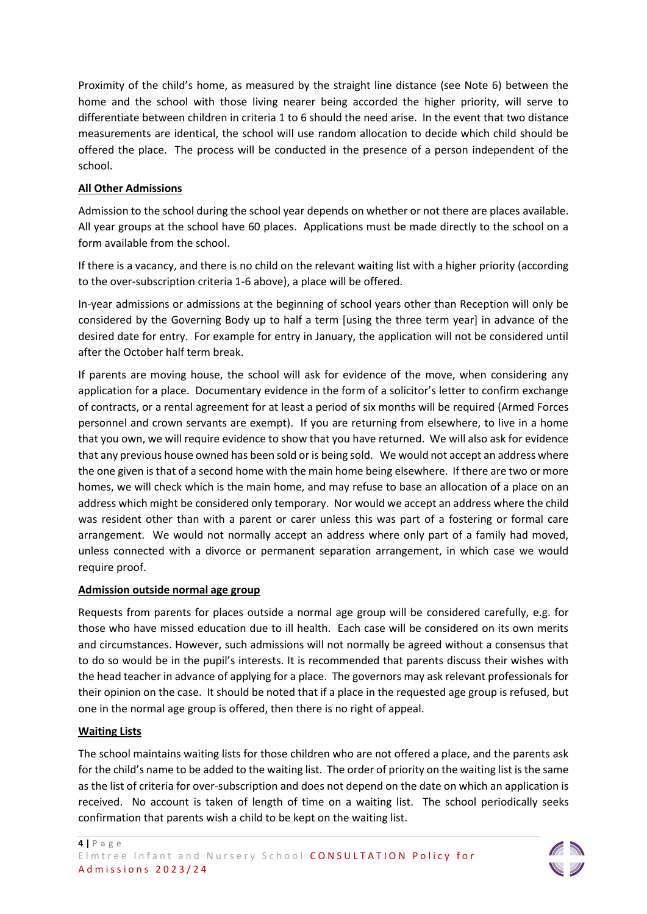Proximity of the child's home, as measured by the straight line distance (see Note 6) between the home and the school with those living nearer being accorded the higher priority, will serve to differentiate between children in criteria 1 to 6 should the need arise. In the event that two distance measurements are identical, the school will use random allocation to decide which child should be offered the place. The process will be conducted in the presence of a person independent of the school.

#### **All Other Admissions**

Admission to the school during the school year depends on whether or not there are places available. All year groups at the school have 60 places. Applications must be made directly to the school on a form available from the school.

If there is a vacancy, and there is no child on the relevant waiting list with a higher priority (according to the over-subscription criteria 1-6 above), a place will be offered.

In-year admissions or admissions at the beginning of school years other than Reception will only be considered by the Governing Body up to half a term [using the three term year] in advance of the desired date for entry. For example for entry in January, the application will not be considered until after the October half term break.

If parents are moving house, the school will ask for evidence of the move, when considering any application for a place. Documentary evidence in the form of a solicitor's letter to confirm exchange of contracts, or a rental agreement for at least a period of six months will be required (Armed Forces personnel and crown servants are exempt). If you are returning from elsewhere, to live in a home that you own, we will require evidence to show that you have returned. We will also ask for evidence that any previous house owned has been sold or is being sold. We would not accept an address where the one given is that of a second home with the main home being elsewhere. If there are two or more homes, we will check which is the main home, and may refuse to base an allocation of a place on an address which might be considered only temporary. Nor would we accept an address where the child was resident other than with a parent or carer unless this was part of a fostering or formal care arrangement. We would not normally accept an address where only part of a family had moved, unless connected with a divorce or permanent separation arrangement, in which case we would require proof.

#### **Admission outside normal age group**

Requests from parents for places outside a normal age group will be considered carefully, e.g. for those who have missed education due to ill health. Each case will be considered on its own merits and circumstances. However, such admissions will not normally be agreed without a consensus that to do so would be in the pupil's interests. It is recommended that parents discuss their wishes with the head teacher in advance of applying for a place. The governors may ask relevant professionals for their opinion on the case. It should be noted that if a place in the requested age group is refused, but one in the normal age group is offered, then there is no right of appeal.

#### **Waiting Lists**

The school maintains waiting lists for those children who are not offered a place, and the parents ask for the child's name to be added to the waiting list. The order of priority on the waiting list is the same as the list of criteria for over-subscription and does not depend on the date on which an application is received. No account is taken of length of time on a waiting list. The school periodically seeks confirmation that parents wish a child to be kept on the waiting list.

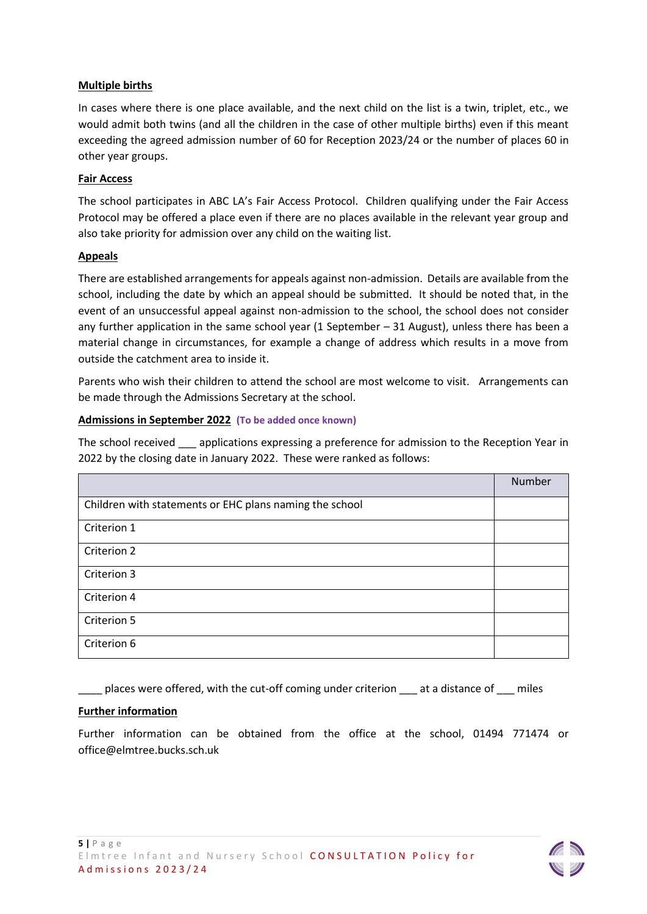#### **Multiple births**

In cases where there is one place available, and the next child on the list is a twin, triplet, etc., we would admit both twins (and all the children in the case of other multiple births) even if this meant exceeding the agreed admission number of 60 for Reception 2023/24 or the number of places 60 in other year groups.

#### **Fair Access**

The school participates in ABC LA's Fair Access Protocol. Children qualifying under the Fair Access Protocol may be offered a place even if there are no places available in the relevant year group and also take priority for admission over any child on the waiting list.

#### **Appeals**

There are established arrangements for appeals against non-admission. Details are available from the school, including the date by which an appeal should be submitted. It should be noted that, in the event of an unsuccessful appeal against non-admission to the school, the school does not consider any further application in the same school year (1 September – 31 August), unless there has been a material change in circumstances, for example a change of address which results in a move from outside the catchment area to inside it.

Parents who wish their children to attend the school are most welcome to visit. Arrangements can be made through the Admissions Secretary at the school.

#### **Admissions in September 2022 (To be added once known)**

The school received applications expressing a preference for admission to the Reception Year in 2022 by the closing date in January 2022. These were ranked as follows:

|                                                         | Number |
|---------------------------------------------------------|--------|
| Children with statements or EHC plans naming the school |        |
| Criterion 1                                             |        |
| Criterion 2                                             |        |
| Criterion 3                                             |        |
| Criterion 4                                             |        |
| Criterion 5                                             |        |
| Criterion 6                                             |        |

places were offered, with the cut-off coming under criterion at a distance of miles

#### **Further information**

Further information can be obtained from the office at the school, 01494 771474 or office@elmtree.bucks.sch.uk

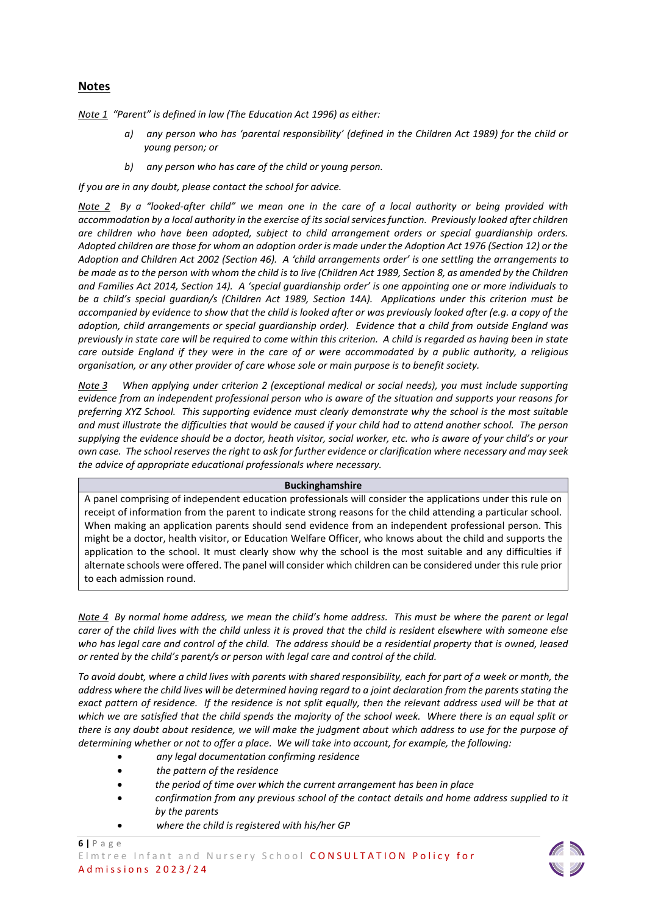#### **Notes**

*Note 1 "Parent" is defined in law (The Education Act 1996) as either:*

- *a) any person who has 'parental responsibility' (defined in the Children Act 1989) for the child or young person; or*
- *b) any person who has care of the child or young person.*

*If you are in any doubt, please contact the school for advice.*

*Note 2 By a "looked-after child" we mean one in the care of a local authority or being provided with accommodation by a local authority in the exercise of its social services function. Previously looked after children are children who have been adopted, subject to child arrangement orders or special guardianship orders. Adopted children are those for whom an adoption order is made under the Adoption Act 1976 (Section 12) or the Adoption and Children Act 2002 (Section 46). A 'child arrangements order' is one settling the arrangements to be made as to the person with whom the child is to live (Children Act 1989, Section 8, as amended by the Children and Families Act 2014, Section 14). A 'special guardianship order' is one appointing one or more individuals to be a child's special guardian/s (Children Act 1989, Section 14A). Applications under this criterion must be accompanied by evidence to show that the child is looked after or was previously looked after (e.g. a copy of the adoption, child arrangements or special guardianship order). Evidence that a child from outside England was previously in state care will be required to come within this criterion. A child is regarded as having been in state care outside England if they were in the care of or were accommodated by a public authority, a religious organisation, or any other provider of care whose sole or main purpose is to benefit society.*

*Note 3 When applying under criterion 2 (exceptional medical or social needs), you must include supporting evidence from an independent professional person who is aware of the situation and supports your reasons for preferring XYZ School. This supporting evidence must clearly demonstrate why the school is the most suitable and must illustrate the difficulties that would be caused if your child had to attend another school. The person supplying the evidence should be a doctor, heath visitor, social worker, etc. who is aware of your child's or your own case. The school reserves the right to ask for further evidence or clarification where necessary and may seek the advice of appropriate educational professionals where necessary.*

#### **Buckinghamshire**

A panel comprising of independent education professionals will consider the applications under this rule on receipt of information from the parent to indicate strong reasons for the child attending a particular school. When making an application parents should send evidence from an independent professional person. This might be a doctor, health visitor, or Education Welfare Officer, who knows about the child and supports the application to the school. It must clearly show why the school is the most suitable and any difficulties if alternate schools were offered. The panel will consider which children can be considered under this rule prior to each admission round.

*Note 4 By normal home address, we mean the child's home address. This must be where the parent or legal carer of the child lives with the child unless it is proved that the child is resident elsewhere with someone else who has legal care and control of the child. The address should be a residential property that is owned, leased or rented by the child's parent/s or person with legal care and control of the child.* 

*To avoid doubt, where a child lives with parents with shared responsibility, each for part of a week or month, the address where the child lives will be determined having regard to a joint declaration from the parents stating the exact pattern of residence. If the residence is not split equally, then the relevant address used will be that at which we are satisfied that the child spends the majority of the school week. Where there is an equal split or there is any doubt about residence, we will make the judgment about which address to use for the purpose of determining whether or not to offer a place. We will take into account, for example, the following:*

- *any legal documentation confirming residence*
- *the pattern of the residence*
- *the period of time over which the current arrangement has been in place*
- *confirmation from any previous school of the contact details and home address supplied to it by the parents*
- *where the child is registered with his/her GP*

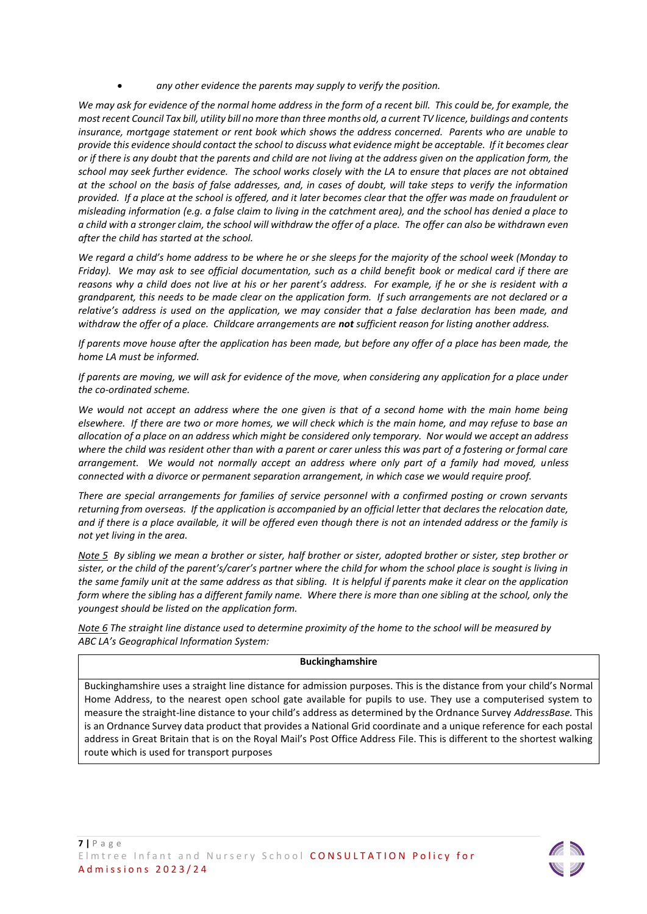• *any other evidence the parents may supply to verify the position.*

*We may ask for evidence of the normal home address in the form of a recent bill. This could be, for example, the most recent Council Tax bill, utility bill no more than three months old, a current TV licence, buildings and contents insurance, mortgage statement or rent book which shows the address concerned. Parents who are unable to provide this evidence should contact the school to discuss what evidence might be acceptable. If it becomes clear or if there is any doubt that the parents and child are not living at the address given on the application form, the school may seek further evidence. The school works closely with the LA to ensure that places are not obtained at the school on the basis of false addresses, and, in cases of doubt, will take steps to verify the information provided. If a place at the school is offered, and it later becomes clear that the offer was made on fraudulent or misleading information (e.g. a false claim to living in the catchment area), and the school has denied a place to a child with a stronger claim, the school will withdraw the offer of a place. The offer can also be withdrawn even after the child has started at the school.*

*We regard a child's home address to be where he or she sleeps for the majority of the school week (Monday to Friday). We may ask to see official documentation, such as a child benefit book or medical card if there are reasons why a child does not live at his or her parent's address. For example, if he or she is resident with a grandparent, this needs to be made clear on the application form. If such arrangements are not declared or a relative's address is used on the application, we may consider that a false declaration has been made, and withdraw the offer of a place. Childcare arrangements are not sufficient reason for listing another address.* 

*If parents move house after the application has been made, but before any offer of a place has been made, the home LA must be informed.*

*If parents are moving, we will ask for evidence of the move, when considering any application for a place under the co-ordinated scheme.*

*We would not accept an address where the one given is that of a second home with the main home being elsewhere. If there are two or more homes, we will check which is the main home, and may refuse to base an allocation of a place on an address which might be considered only temporary. Nor would we accept an address where the child was resident other than with a parent or carer unless this was part of a fostering or formal care arrangement. We would not normally accept an address where only part of a family had moved, unless connected with a divorce or permanent separation arrangement, in which case we would require proof.*

*There are special arrangements for families of service personnel with a confirmed posting or crown servants returning from overseas. If the application is accompanied by an official letter that declares the relocation date, and if there is a place available, it will be offered even though there is not an intended address or the family is not yet living in the area.*

*Note 5 By sibling we mean a brother or sister, half brother or sister, adopted brother or sister, step brother or sister, or the child of the parent's/carer's partner where the child for whom the school place is sought is living in the same family unit at the same address as that sibling. It is helpful if parents make it clear on the application*  form where the sibling has a different family name. Where there is more than one sibling at the school, only the *youngest should be listed on the application form.*

*Note 6 The straight line distance used to determine proximity of the home to the school will be measured by ABC LA's Geographical Information System:* 

#### **Buckinghamshire**

Buckinghamshire uses a straight line distance for admission purposes. This is the distance from your child's Normal Home Address, to the nearest open school gate available for pupils to use. They use a computerised system to measure the straight-line distance to your child's address as determined by the Ordnance Survey *AddressBase.* This is an Ordnance Survey data product that provides a National Grid coordinate and a unique reference for each postal address in Great Britain that is on the Royal Mail's Post Office Address File. This is different to the shortest walking route which is used for transport purposes

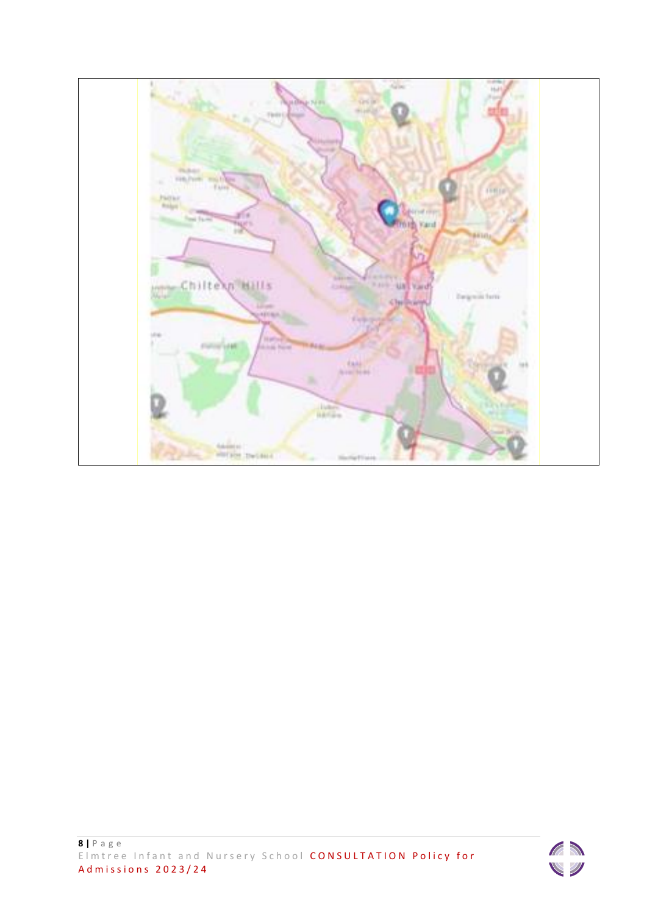

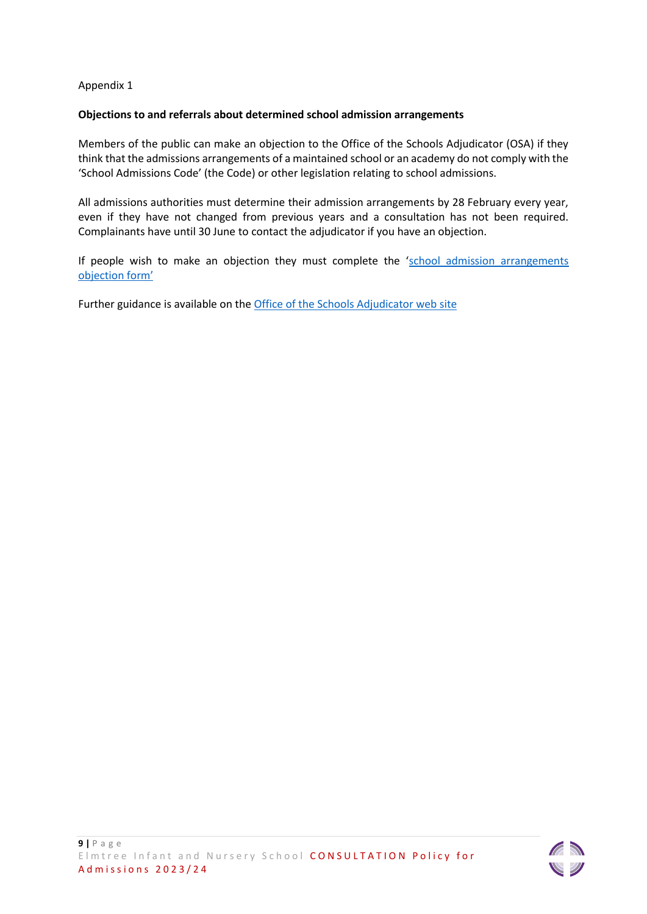#### Appendix 1

#### **Objections to and referrals about determined school admission arrangements**

Members of the public can make an objection to the Office of the Schools Adjudicator (OSA) if they think that the admissions arrangements of a maintained school or an academy do not comply with the 'School Admissions Code' (the Code) or other legislation relating to school admissions.

All admissions authorities must determine their admission arrangements by 28 February every year, even if they have not changed from previous years and a consultation has not been required. Complainants have until 30 June to contact the adjudicator if you have an objection.

If people wish to make an objection they must complete the 'school admission arrangements [objection fo](https://www.gov.uk/government/publications/objection-to-school-admission-arrangements)rm'

Further guidance is available on th[e Office of the Schools Adjudicator web site](https://www.gov.uk/guidance/schools-adjudicator-make-an-objection-appeal-or-referral)

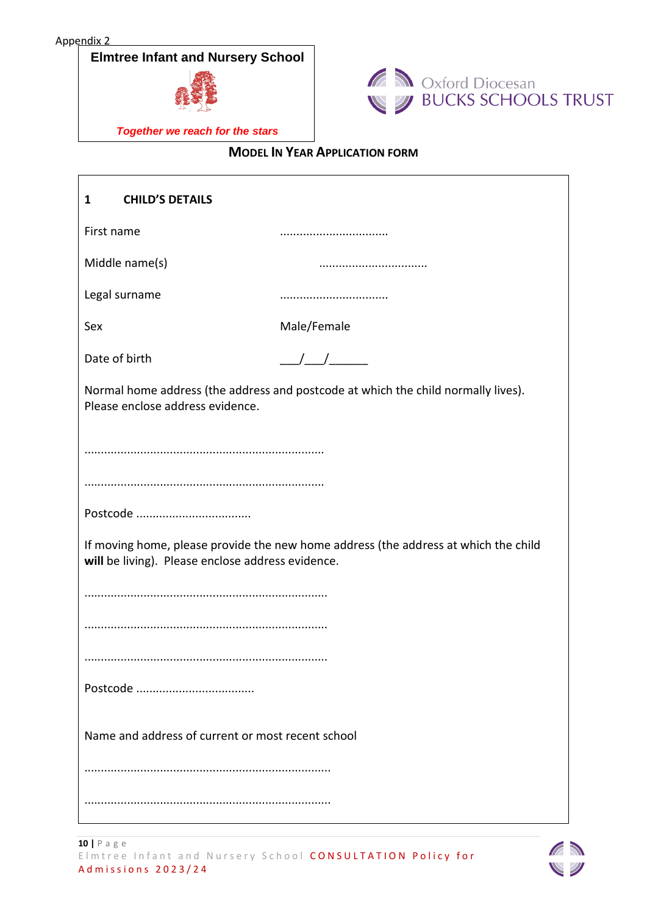Appendix 2

 $\mathsf{r}$ 

**Elmtree Infant and Nursery School**





*Together we reach for the stars*

#### **MODEL IN YEAR APPLICATION FORM**

| <b>CHILD'S DETAILS</b><br>$\mathbf{1}$                                                                                                   |               |  |  |
|------------------------------------------------------------------------------------------------------------------------------------------|---------------|--|--|
| First name                                                                                                                               |               |  |  |
| Middle name(s)                                                                                                                           |               |  |  |
| Legal surname                                                                                                                            |               |  |  |
| Sex                                                                                                                                      | Male/Female   |  |  |
| Date of birth                                                                                                                            | $\frac{1}{2}$ |  |  |
| Normal home address (the address and postcode at which the child normally lives).<br>Please enclose address evidence.                    |               |  |  |
|                                                                                                                                          |               |  |  |
|                                                                                                                                          |               |  |  |
|                                                                                                                                          |               |  |  |
| If moving home, please provide the new home address (the address at which the child<br>will be living). Please enclose address evidence. |               |  |  |
|                                                                                                                                          |               |  |  |
|                                                                                                                                          |               |  |  |
|                                                                                                                                          |               |  |  |
|                                                                                                                                          |               |  |  |
| Name and address of current or most recent school                                                                                        |               |  |  |
|                                                                                                                                          |               |  |  |
|                                                                                                                                          |               |  |  |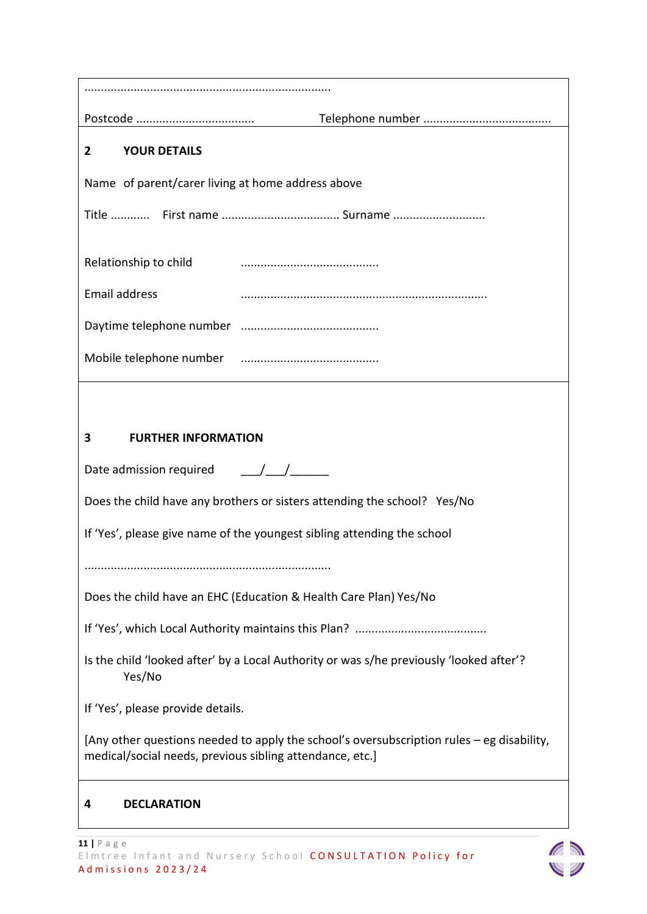| $\mathbf{2}$<br><b>YOUR DETAILS</b>                                                                                                                   |  |  |
|-------------------------------------------------------------------------------------------------------------------------------------------------------|--|--|
| Name of parent/carer living at home address above                                                                                                     |  |  |
|                                                                                                                                                       |  |  |
| Relationship to child                                                                                                                                 |  |  |
| <b>Email address</b>                                                                                                                                  |  |  |
|                                                                                                                                                       |  |  |
|                                                                                                                                                       |  |  |
|                                                                                                                                                       |  |  |
| 3<br><b>FURTHER INFORMATION</b>                                                                                                                       |  |  |
|                                                                                                                                                       |  |  |
| Does the child have any brothers or sisters attending the school? Yes/No                                                                              |  |  |
| If 'Yes', please give name of the youngest sibling attending the school                                                                               |  |  |
|                                                                                                                                                       |  |  |
| Does the child have an EHC (Education & Health Care Plan) Yes/No                                                                                      |  |  |
|                                                                                                                                                       |  |  |
| Is the child 'looked after' by a Local Authority or was s/he previously 'looked after'?<br>Yes/No                                                     |  |  |
| If 'Yes', please provide details.                                                                                                                     |  |  |
| [Any other questions needed to apply the school's oversubscription rules - eg disability,<br>medical/social needs, previous sibling attendance, etc.] |  |  |
| <b>DECLARATION</b><br>4                                                                                                                               |  |  |